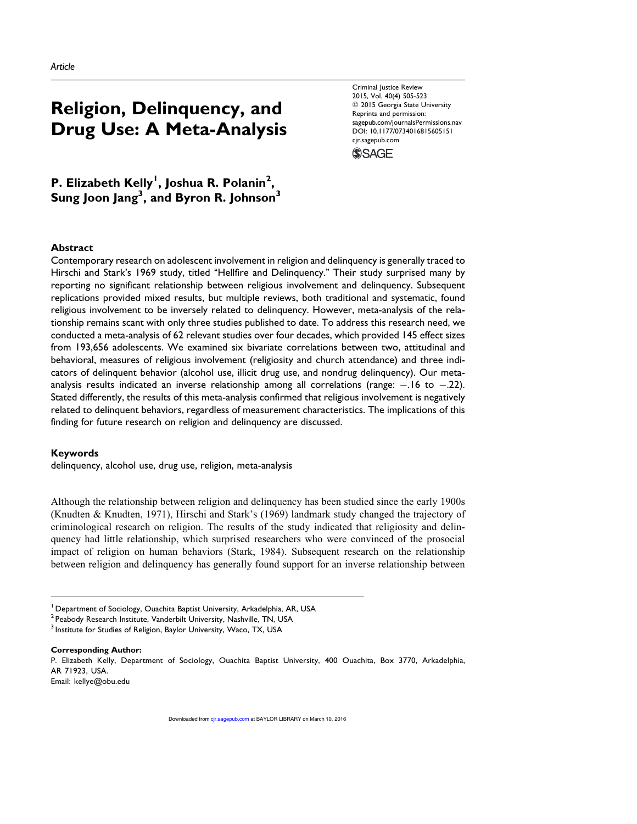# Religion, Delinquency, and Drug Use: A Meta-Analysis

Criminal Justice Review 2015, Vol. 40(4) 505-523  $©$  2015 Georgia State University Reprints and permission: sagepub.com/journalsPermissions.nav DOI: 10.1177/0734016815605151 cjr.sagepub.com

**SSAGE** 

# P. Elizabeth Kelly<sup>l</sup>, Joshua R. Polanin<sup>2</sup>, Sung Joon Jang $^3\!$  and Byron R. Johnson $^3$

#### Abstract

Contemporary research on adolescent involvement in religion and delinquency is generally traced to Hirschi and Stark's 1969 study, titled ''Hellfire and Delinquency.'' Their study surprised many by reporting no significant relationship between religious involvement and delinquency. Subsequent replications provided mixed results, but multiple reviews, both traditional and systematic, found religious involvement to be inversely related to delinquency. However, meta-analysis of the relationship remains scant with only three studies published to date. To address this research need, we conducted a meta-analysis of 62 relevant studies over four decades, which provided 145 effect sizes from 193,656 adolescents. We examined six bivariate correlations between two, attitudinal and behavioral, measures of religious involvement (religiosity and church attendance) and three indicators of delinquent behavior (alcohol use, illicit drug use, and nondrug delinquency). Our metaanalysis results indicated an inverse relationship among all correlations (range:  $-.16$  to  $-.22$ ). Stated differently, the results of this meta-analysis confirmed that religious involvement is negatively related to delinquent behaviors, regardless of measurement characteristics. The implications of this finding for future research on religion and delinquency are discussed.

#### Keywords

delinquency, alcohol use, drug use, religion, meta-analysis

Although the relationship between religion and delinquency has been studied since the early 1900s (Knudten & Knudten, 1971), Hirschi and Stark's (1969) landmark study changed the trajectory of criminological research on religion. The results of the study indicated that religiosity and delinquency had little relationship, which surprised researchers who were convinced of the prosocial impact of religion on human behaviors (Stark, 1984). Subsequent research on the relationship between religion and delinquency has generally found support for an inverse relationship between

Corresponding Author:

P. Elizabeth Kelly, Department of Sociology, Ouachita Baptist University, 400 Ouachita, Box 3770, Arkadelphia, AR 71923, USA. Email: kellye@obu.edu

<sup>&</sup>lt;sup>1</sup> Department of Sociology, Ouachita Baptist University, Arkadelphia, AR, USA

 $2$  Peabody Research Institute, Vanderbilt University, Nashville, TN, USA

<sup>&</sup>lt;sup>3</sup> Institute for Studies of Religion, Baylor University, Waco, TX, USA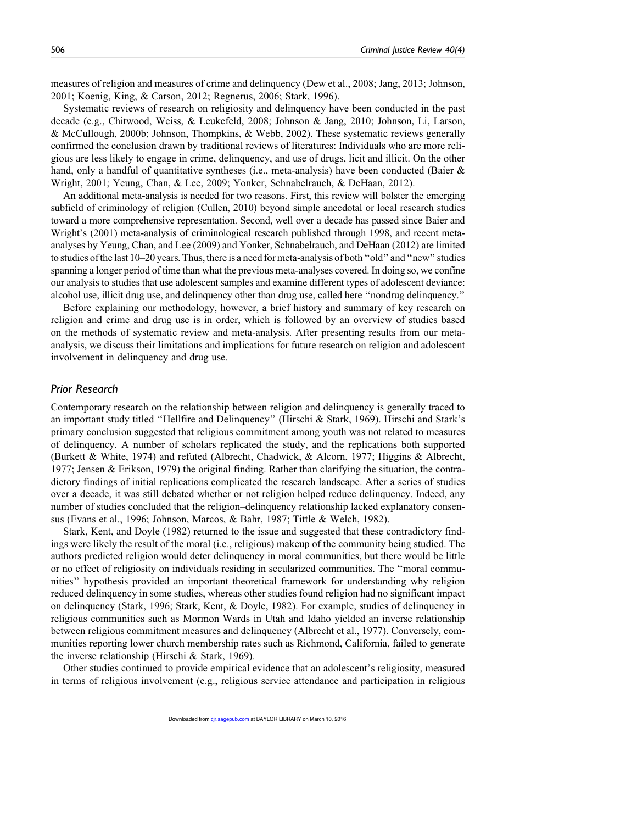measures of religion and measures of crime and delinquency (Dew et al., 2008; Jang, 2013; Johnson, 2001; Koenig, King, & Carson, 2012; Regnerus, 2006; Stark, 1996).

Systematic reviews of research on religiosity and delinquency have been conducted in the past decade (e.g., Chitwood, Weiss, & Leukefeld, 2008; Johnson & Jang, 2010; Johnson, Li, Larson, & McCullough, 2000b; Johnson, Thompkins, & Webb, 2002). These systematic reviews generally confirmed the conclusion drawn by traditional reviews of literatures: Individuals who are more religious are less likely to engage in crime, delinquency, and use of drugs, licit and illicit. On the other hand, only a handful of quantitative syntheses (i.e., meta-analysis) have been conducted (Baier & Wright, 2001; Yeung, Chan, & Lee, 2009; Yonker, Schnabelrauch, & DeHaan, 2012).

An additional meta-analysis is needed for two reasons. First, this review will bolster the emerging subfield of criminology of religion (Cullen, 2010) beyond simple anecdotal or local research studies toward a more comprehensive representation. Second, well over a decade has passed since Baier and Wright's (2001) meta-analysis of criminological research published through 1998, and recent metaanalyses by Yeung, Chan, and Lee (2009) and Yonker, Schnabelrauch, and DeHaan (2012) are limited to studies of the last 10–20 years. Thus, there is a need for meta-analysis of both "old" and "new" studies spanning a longer period of time than what the previous meta-analyses covered. In doing so, we confine our analysis to studies that use adolescent samples and examine different types of adolescent deviance: alcohol use, illicit drug use, and delinquency other than drug use, called here ''nondrug delinquency.''

Before explaining our methodology, however, a brief history and summary of key research on religion and crime and drug use is in order, which is followed by an overview of studies based on the methods of systematic review and meta-analysis. After presenting results from our metaanalysis, we discuss their limitations and implications for future research on religion and adolescent involvement in delinquency and drug use.

#### Prior Research

Contemporary research on the relationship between religion and delinquency is generally traced to an important study titled ''Hellfire and Delinquency'' (Hirschi & Stark, 1969). Hirschi and Stark's primary conclusion suggested that religious commitment among youth was not related to measures of delinquency. A number of scholars replicated the study, and the replications both supported (Burkett & White, 1974) and refuted (Albrecht, Chadwick, & Alcorn, 1977; Higgins & Albrecht, 1977; Jensen & Erikson, 1979) the original finding. Rather than clarifying the situation, the contradictory findings of initial replications complicated the research landscape. After a series of studies over a decade, it was still debated whether or not religion helped reduce delinquency. Indeed, any number of studies concluded that the religion–delinquency relationship lacked explanatory consensus (Evans et al., 1996; Johnson, Marcos, & Bahr, 1987; Tittle & Welch, 1982).

Stark, Kent, and Doyle (1982) returned to the issue and suggested that these contradictory findings were likely the result of the moral (i.e., religious) makeup of the community being studied. The authors predicted religion would deter delinquency in moral communities, but there would be little or no effect of religiosity on individuals residing in secularized communities. The ''moral communities'' hypothesis provided an important theoretical framework for understanding why religion reduced delinquency in some studies, whereas other studies found religion had no significant impact on delinquency (Stark, 1996; Stark, Kent, & Doyle, 1982). For example, studies of delinquency in religious communities such as Mormon Wards in Utah and Idaho yielded an inverse relationship between religious commitment measures and delinquency (Albrecht et al., 1977). Conversely, communities reporting lower church membership rates such as Richmond, California, failed to generate the inverse relationship (Hirschi & Stark, 1969).

Other studies continued to provide empirical evidence that an adolescent's religiosity, measured in terms of religious involvement (e.g., religious service attendance and participation in religious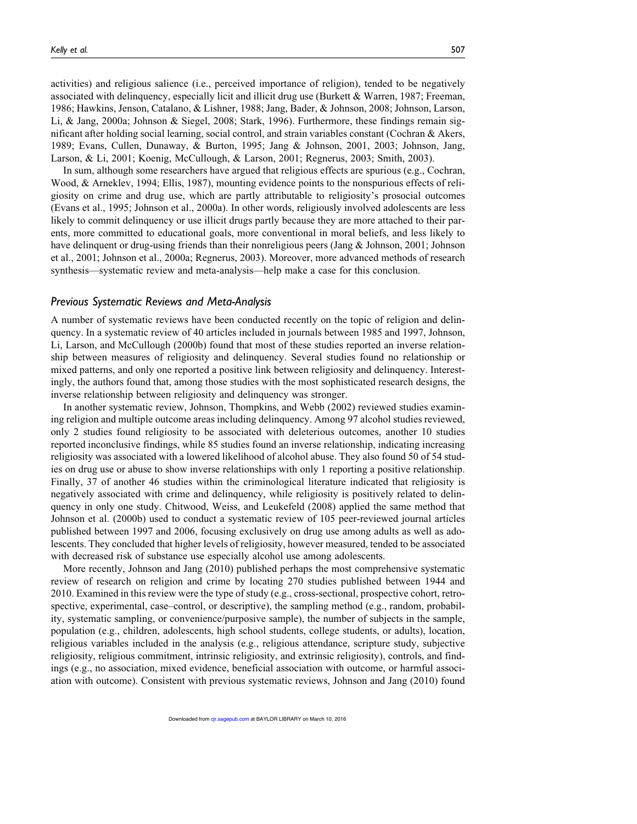activities) and religious salience (i.e., perceived importance of religion), tended to be negatively associated with delinquency, especially licit and illicit drug use (Burkett & Warren, 1987; Freeman, 1986; Hawkins, Jenson, Catalano, & Lishner, 1988; Jang, Bader, & Johnson, 2008; Johnson, Larson, Li, & Jang, 2000a; Johnson & Siegel, 2008; Stark, 1996). Furthermore, these findings remain significant after holding social learning, social control, and strain variables constant (Cochran & Akers, 1989; Evans, Cullen, Dunaway, & Burton, 1995; Jang & Johnson, 2001, 2003; Johnson, Jang, Larson, & Li, 2001; Koenig, McCullough, & Larson, 2001; Regnerus, 2003; Smith, 2003).

In sum, although some researchers have argued that religious effects are spurious (e.g., Cochran, Wood, & Arneklev, 1994; Ellis, 1987), mounting evidence points to the nonspurious effects of religiosity on crime and drug use, which are partly attributable to religiosity's prosocial outcomes (Evans et al., 1995; Johnson et al., 2000a). In other words, religiously involved adolescents are less likely to commit delinquency or use illicit drugs partly because they are more attached to their parents, more committed to educational goals, more conventional in moral beliefs, and less likely to have delinquent or drug-using friends than their nonreligious peers (Jang & Johnson, 2001; Johnson et al., 2001; Johnson et al., 2000a; Regnerus, 2003). Moreover, more advanced methods of research synthesis—systematic review and meta-analysis—help make a case for this conclusion.

#### Previous Systematic Reviews and Meta-Analysis

A number of systematic reviews have been conducted recently on the topic of religion and delinquency. In a systematic review of 40 articles included in journals between 1985 and 1997, Johnson, Li, Larson, and McCullough (2000b) found that most of these studies reported an inverse relationship between measures of religiosity and delinquency. Several studies found no relationship or mixed patterns, and only one reported a positive link between religiosity and delinquency. Interestingly, the authors found that, among those studies with the most sophisticated research designs, the inverse relationship between religiosity and delinquency was stronger.

In another systematic review, Johnson, Thompkins, and Webb (2002) reviewed studies examining religion and multiple outcome areas including delinquency. Among 97 alcohol studies reviewed, only 2 studies found religiosity to be associated with deleterious outcomes, another 10 studies reported inconclusive findings, while 85 studies found an inverse relationship, indicating increasing religiosity was associated with a lowered likelihood of alcohol abuse. They also found 50 of 54 studies on drug use or abuse to show inverse relationships with only 1 reporting a positive relationship. Finally, 37 of another 46 studies within the criminological literature indicated that religiosity is negatively associated with crime and delinquency, while religiosity is positively related to delinquency in only one study. Chitwood, Weiss, and Leukefeld (2008) applied the same method that Johnson et al. (2000b) used to conduct a systematic review of 105 peer-reviewed journal articles published between 1997 and 2006, focusing exclusively on drug use among adults as well as adolescents. They concluded that higher levels of religiosity, however measured, tended to be associated with decreased risk of substance use especially alcohol use among adolescents.

More recently, Johnson and Jang (2010) published perhaps the most comprehensive systematic review of research on religion and crime by locating 270 studies published between 1944 and 2010. Examined in this review were the type of study (e.g., cross-sectional, prospective cohort, retrospective, experimental, case–control, or descriptive), the sampling method (e.g., random, probability, systematic sampling, or convenience/purposive sample), the number of subjects in the sample, population (e.g., children, adolescents, high school students, college students, or adults), location, religious variables included in the analysis (e.g., religious attendance, scripture study, subjective religiosity, religious commitment, intrinsic religiosity, and extrinsic religiosity), controls, and findings (e.g., no association, mixed evidence, beneficial association with outcome, or harmful association with outcome). Consistent with previous systematic reviews, Johnson and Jang (2010) found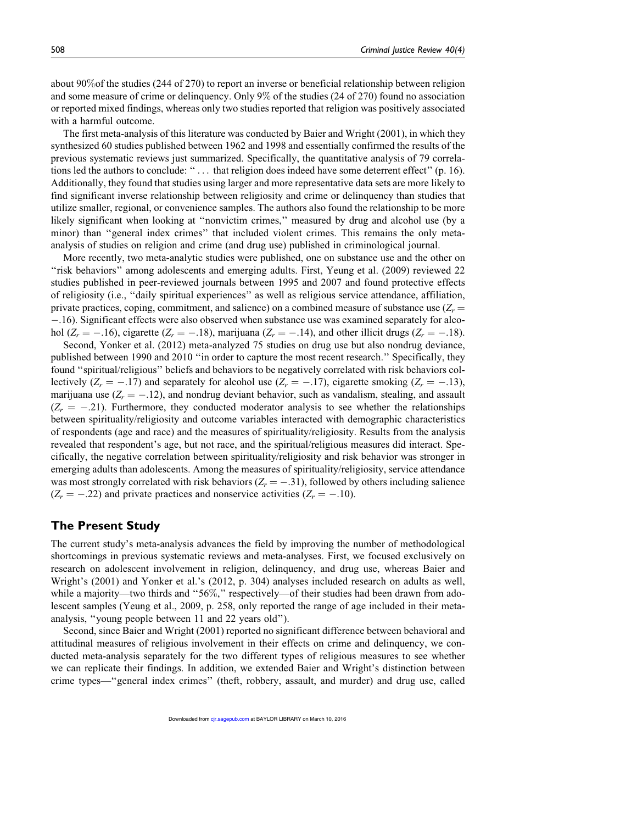about 90%of the studies (244 of 270) to report an inverse or beneficial relationship between religion and some measure of crime or delinquency. Only 9% of the studies (24 of 270) found no association or reported mixed findings, whereas only two studies reported that religion was positively associated with a harmful outcome.

The first meta-analysis of this literature was conducted by Baier and Wright (2001), in which they synthesized 60 studies published between 1962 and 1998 and essentially confirmed the results of the previous systematic reviews just summarized. Specifically, the quantitative analysis of 79 correlations led the authors to conclude: '' . . . that religion does indeed have some deterrent effect'' (p. 16). Additionally, they found that studies using larger and more representative data sets are more likely to find significant inverse relationship between religiosity and crime or delinquency than studies that utilize smaller, regional, or convenience samples. The authors also found the relationship to be more likely significant when looking at "nonvictim crimes," measured by drug and alcohol use (by a minor) than ''general index crimes'' that included violent crimes. This remains the only metaanalysis of studies on religion and crime (and drug use) published in criminological journal.

More recently, two meta-analytic studies were published, one on substance use and the other on ''risk behaviors'' among adolescents and emerging adults. First, Yeung et al. (2009) reviewed 22 studies published in peer-reviewed journals between 1995 and 2007 and found protective effects of religiosity (i.e., ''daily spiritual experiences'' as well as religious service attendance, affiliation, private practices, coping, commitment, and salience) on a combined measure of substance use  $(Z_r =$ -.16). Significant effects were also observed when substance use was examined separately for alcohol ( $Z_r = -.16$ ), cigarette ( $Z_r = -.18$ ), marijuana ( $Z_r = -.14$ ), and other illicit drugs ( $Z_r = -.18$ ). Second, Yonker et al. (2012) meta-analyzed 75 studies on drug use but also nondrug deviance, published between 1990 and 2010 ''in order to capture the most recent research.'' Specifically, they found ''spiritual/religious'' beliefs and behaviors to be negatively correlated with risk behaviors collectively  $(Z_r = -.17)$  and separately for alcohol use  $(Z_r = -.17)$ , cigarette smoking  $(Z_r = -.13)$ , marijuana use  $(Z_r = -.12)$ , and nondrug deviant behavior, such as vandalism, stealing, and assault  $(Z_r = -.21)$ . Furthermore, they conducted moderator analysis to see whether the relationships between spirituality/religiosity and outcome variables interacted with demographic characteristics of respondents (age and race) and the measures of spirituality/religiosity. Results from the analysis revealed that respondent's age, but not race, and the spiritual/religious measures did interact. Specifically, the negative correlation between spirituality/religiosity and risk behavior was stronger in emerging adults than adolescents. Among the measures of spirituality/religiosity, service attendance was most strongly correlated with risk behaviors  $(Z_r = -.31)$ , followed by others including salience  $(Z_r = -.22)$  and private practices and nonservice activities  $(Z_r = -.10)$ .

# The Present Study

The current study's meta-analysis advances the field by improving the number of methodological shortcomings in previous systematic reviews and meta-analyses. First, we focused exclusively on research on adolescent involvement in religion, delinquency, and drug use, whereas Baier and Wright's (2001) and Yonker et al.'s (2012, p. 304) analyses included research on adults as well, while a majority—two thirds and "56%," respectively—of their studies had been drawn from adolescent samples (Yeung et al., 2009, p. 258, only reported the range of age included in their metaanalysis, ''young people between 11 and 22 years old'').

Second, since Baier and Wright (2001) reported no significant difference between behavioral and attitudinal measures of religious involvement in their effects on crime and delinquency, we conducted meta-analysis separately for the two different types of religious measures to see whether we can replicate their findings. In addition, we extended Baier and Wright's distinction between crime types—''general index crimes'' (theft, robbery, assault, and murder) and drug use, called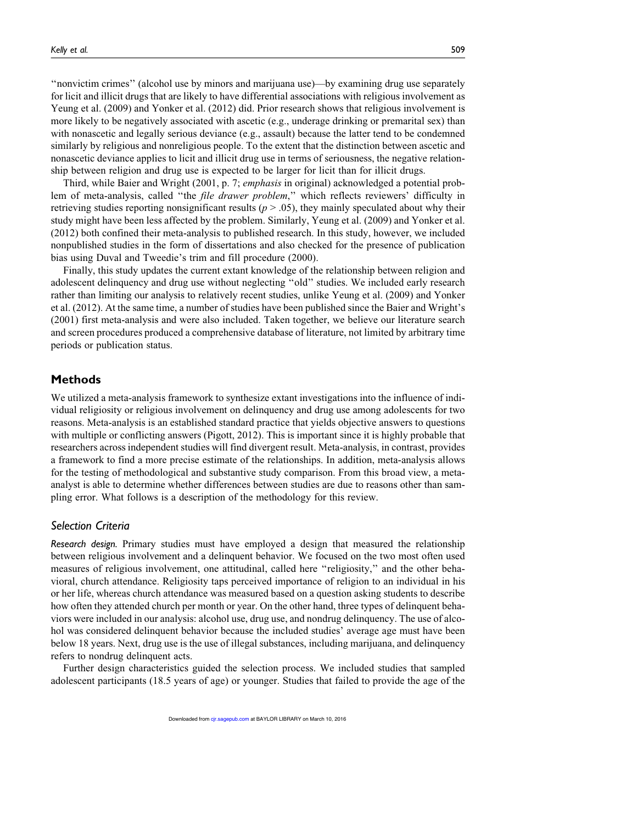''nonvictim crimes'' (alcohol use by minors and marijuana use)—by examining drug use separately for licit and illicit drugs that are likely to have differential associations with religious involvement as Yeung et al. (2009) and Yonker et al. (2012) did. Prior research shows that religious involvement is more likely to be negatively associated with ascetic (e.g., underage drinking or premarital sex) than with nonascetic and legally serious deviance (e.g., assault) because the latter tend to be condemned similarly by religious and nonreligious people. To the extent that the distinction between ascetic and nonascetic deviance applies to licit and illicit drug use in terms of seriousness, the negative relationship between religion and drug use is expected to be larger for licit than for illicit drugs.

Third, while Baier and Wright (2001, p. 7; *emphasis* in original) acknowledged a potential problem of meta-analysis, called "the *file drawer problem*," which reflects reviewers' difficulty in retrieving studies reporting nonsignificant results ( $p > .05$ ), they mainly speculated about why their study might have been less affected by the problem. Similarly, Yeung et al. (2009) and Yonker et al. (2012) both confined their meta-analysis to published research. In this study, however, we included nonpublished studies in the form of dissertations and also checked for the presence of publication bias using Duval and Tweedie's trim and fill procedure (2000).

Finally, this study updates the current extant knowledge of the relationship between religion and adolescent delinquency and drug use without neglecting ''old'' studies. We included early research rather than limiting our analysis to relatively recent studies, unlike Yeung et al. (2009) and Yonker et al. (2012). At the same time, a number of studies have been published since the Baier and Wright's (2001) first meta-analysis and were also included. Taken together, we believe our literature search and screen procedures produced a comprehensive database of literature, not limited by arbitrary time periods or publication status.

# **Methods**

We utilized a meta-analysis framework to synthesize extant investigations into the influence of individual religiosity or religious involvement on delinquency and drug use among adolescents for two reasons. Meta-analysis is an established standard practice that yields objective answers to questions with multiple or conflicting answers (Pigott, 2012). This is important since it is highly probable that researchers across independent studies will find divergent result. Meta-analysis, in contrast, provides a framework to find a more precise estimate of the relationships. In addition, meta-analysis allows for the testing of methodological and substantive study comparison. From this broad view, a metaanalyst is able to determine whether differences between studies are due to reasons other than sampling error. What follows is a description of the methodology for this review.

#### Selection Criteria

Research design. Primary studies must have employed a design that measured the relationship between religious involvement and a delinquent behavior. We focused on the two most often used measures of religious involvement, one attitudinal, called here "religiosity," and the other behavioral, church attendance. Religiosity taps perceived importance of religion to an individual in his or her life, whereas church attendance was measured based on a question asking students to describe how often they attended church per month or year. On the other hand, three types of delinquent behaviors were included in our analysis: alcohol use, drug use, and nondrug delinquency. The use of alcohol was considered delinquent behavior because the included studies' average age must have been below 18 years. Next, drug use is the use of illegal substances, including marijuana, and delinquency refers to nondrug delinquent acts.

Further design characteristics guided the selection process. We included studies that sampled adolescent participants (18.5 years of age) or younger. Studies that failed to provide the age of the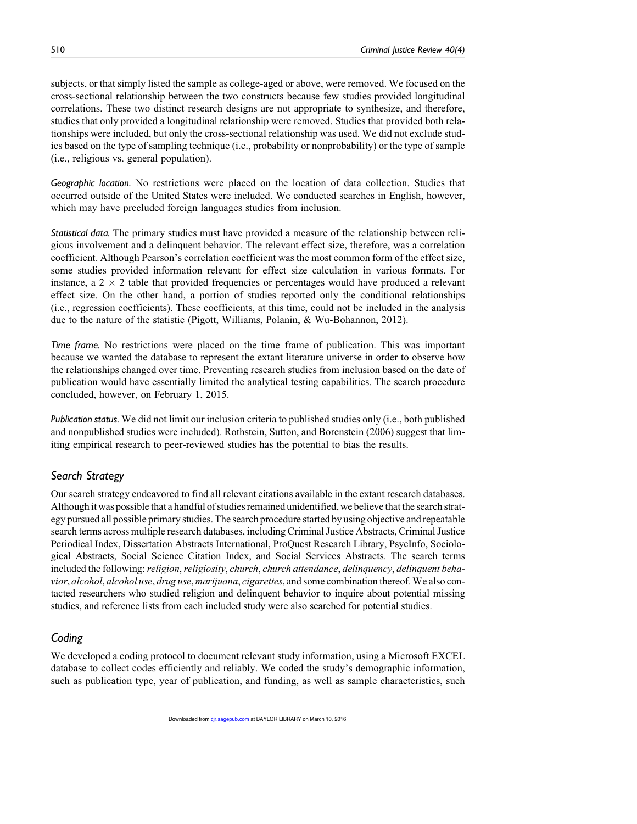subjects, or that simply listed the sample as college-aged or above, were removed. We focused on the cross-sectional relationship between the two constructs because few studies provided longitudinal correlations. These two distinct research designs are not appropriate to synthesize, and therefore, studies that only provided a longitudinal relationship were removed. Studies that provided both relationships were included, but only the cross-sectional relationship was used. We did not exclude studies based on the type of sampling technique (i.e., probability or nonprobability) or the type of sample (i.e., religious vs. general population).

Geographic location. No restrictions were placed on the location of data collection. Studies that occurred outside of the United States were included. We conducted searches in English, however, which may have precluded foreign languages studies from inclusion.

Statistical data. The primary studies must have provided a measure of the relationship between religious involvement and a delinquent behavior. The relevant effect size, therefore, was a correlation coefficient. Although Pearson's correlation coefficient was the most common form of the effect size, some studies provided information relevant for effect size calculation in various formats. For instance, a  $2 \times 2$  table that provided frequencies or percentages would have produced a relevant effect size. On the other hand, a portion of studies reported only the conditional relationships (i.e., regression coefficients). These coefficients, at this time, could not be included in the analysis due to the nature of the statistic (Pigott, Williams, Polanin, & Wu-Bohannon, 2012).

Time frame. No restrictions were placed on the time frame of publication. This was important because we wanted the database to represent the extant literature universe in order to observe how the relationships changed over time. Preventing research studies from inclusion based on the date of publication would have essentially limited the analytical testing capabilities. The search procedure concluded, however, on February 1, 2015.

Publication status. We did not limit our inclusion criteria to published studies only (i.e., both published and nonpublished studies were included). Rothstein, Sutton, and Borenstein (2006) suggest that limiting empirical research to peer-reviewed studies has the potential to bias the results.

# Search Strategy

Our search strategy endeavored to find all relevant citations available in the extant research databases. Although it was possible that a handful of studies remained unidentified, we believe that the search strategy pursued all possible primary studies.The search procedure started by using objective and repeatable search terms across multiple research databases, including Criminal Justice Abstracts, Criminal Justice Periodical Index, Dissertation Abstracts International, ProQuest Research Library, PsycInfo, Sociological Abstracts, Social Science Citation Index, and Social Services Abstracts. The search terms included the following: religion, religiosity, church, church attendance, delinquency, delinquent behavior, alcohol, alcohol use, drug use, marijuana, cigarettes, and some combination thereof. We also contacted researchers who studied religion and delinquent behavior to inquire about potential missing studies, and reference lists from each included study were also searched for potential studies.

# Coding

We developed a coding protocol to document relevant study information, using a Microsoft EXCEL database to collect codes efficiently and reliably. We coded the study's demographic information, such as publication type, year of publication, and funding, as well as sample characteristics, such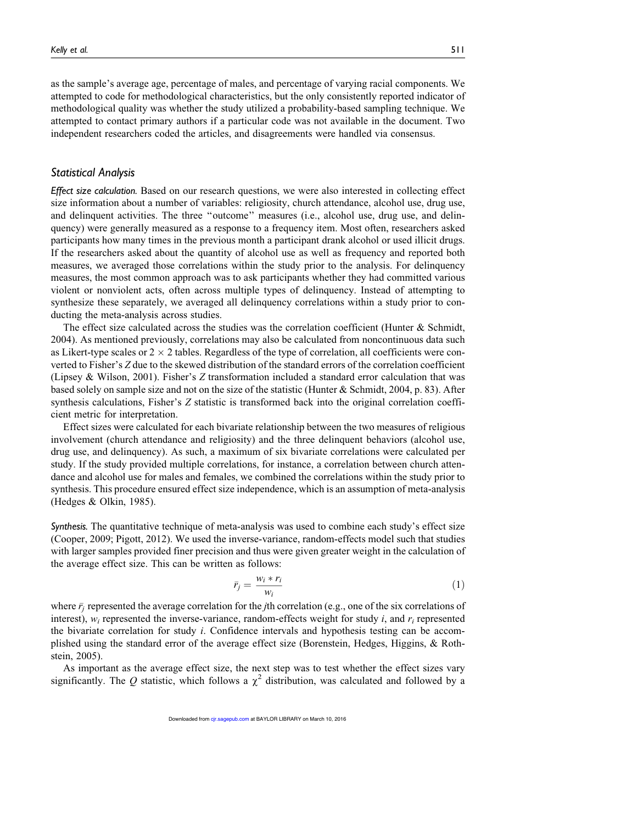as the sample's average age, percentage of males, and percentage of varying racial components. We attempted to code for methodological characteristics, but the only consistently reported indicator of methodological quality was whether the study utilized a probability-based sampling technique. We attempted to contact primary authors if a particular code was not available in the document. Two independent researchers coded the articles, and disagreements were handled via consensus.

#### Statistical Analysis

Effect size calculation. Based on our research questions, we were also interested in collecting effect size information about a number of variables: religiosity, church attendance, alcohol use, drug use, and delinquent activities. The three ''outcome'' measures (i.e., alcohol use, drug use, and delinquency) were generally measured as a response to a frequency item. Most often, researchers asked participants how many times in the previous month a participant drank alcohol or used illicit drugs. If the researchers asked about the quantity of alcohol use as well as frequency and reported both measures, we averaged those correlations within the study prior to the analysis. For delinquency measures, the most common approach was to ask participants whether they had committed various violent or nonviolent acts, often across multiple types of delinquency. Instead of attempting to synthesize these separately, we averaged all delinquency correlations within a study prior to conducting the meta-analysis across studies.

The effect size calculated across the studies was the correlation coefficient (Hunter & Schmidt, 2004). As mentioned previously, correlations may also be calculated from noncontinuous data such as Likert-type scales or  $2 \times 2$  tables. Regardless of the type of correlation, all coefficients were converted to Fisher's Z due to the skewed distribution of the standard errors of the correlation coefficient (Lipsey & Wilson, 2001). Fisher's  $Z$  transformation included a standard error calculation that was based solely on sample size and not on the size of the statistic (Hunter & Schmidt, 2004, p. 83). After synthesis calculations, Fisher's Z statistic is transformed back into the original correlation coefficient metric for interpretation.

Effect sizes were calculated for each bivariate relationship between the two measures of religious involvement (church attendance and religiosity) and the three delinquent behaviors (alcohol use, drug use, and delinquency). As such, a maximum of six bivariate correlations were calculated per study. If the study provided multiple correlations, for instance, a correlation between church attendance and alcohol use for males and females, we combined the correlations within the study prior to synthesis. This procedure ensured effect size independence, which is an assumption of meta-analysis (Hedges & Olkin, 1985).

Synthesis. The quantitative technique of meta-analysis was used to combine each study's effect size (Cooper, 2009; Pigott, 2012). We used the inverse-variance, random-effects model such that studies with larger samples provided finer precision and thus were given greater weight in the calculation of the average effect size. This can be written as follows:

$$
\bar{r}_j = \frac{w_i * r_i}{w_i} \tag{1}
$$

where  $\bar{r}_i$  represented the average correlation for the jth correlation (e.g., one of the six correlations of interest),  $w_i$  represented the inverse-variance, random-effects weight for study i, and  $r_i$  represented the bivariate correlation for study i. Confidence intervals and hypothesis testing can be accomplished using the standard error of the average effect size (Borenstein, Hedges, Higgins, & Rothstein, 2005).

As important as the average effect size, the next step was to test whether the effect sizes vary significantly. The Q statistic, which follows a  $\chi^2$  distribution, was calculated and followed by a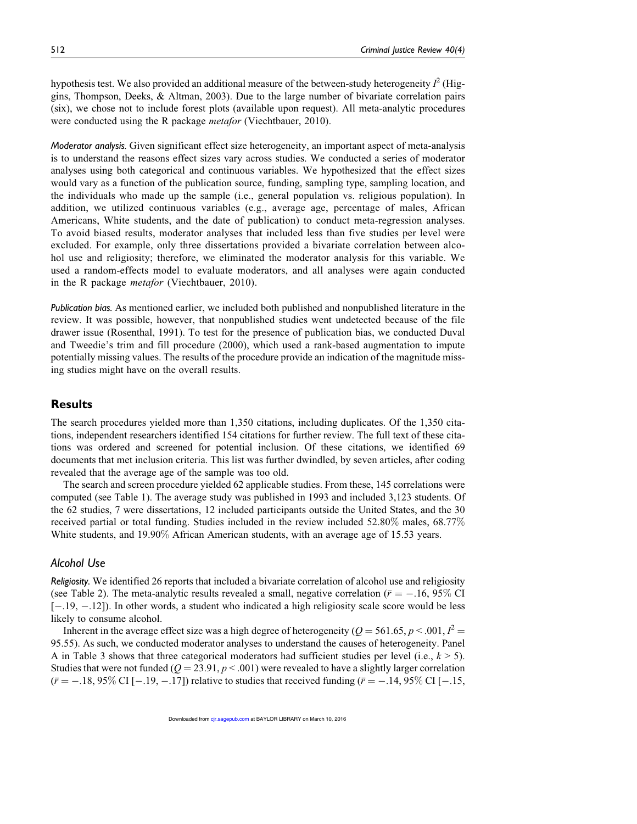hypothesis test. We also provided an additional measure of the between-study heterogeneity  $I^2$  (Higgins, Thompson, Deeks, & Altman, 2003). Due to the large number of bivariate correlation pairs (six), we chose not to include forest plots (available upon request). All meta-analytic procedures were conducted using the R package *metafor* (Viechtbauer, 2010).

Moderator analysis. Given significant effect size heterogeneity, an important aspect of meta-analysis is to understand the reasons effect sizes vary across studies. We conducted a series of moderator analyses using both categorical and continuous variables. We hypothesized that the effect sizes would vary as a function of the publication source, funding, sampling type, sampling location, and the individuals who made up the sample (i.e., general population vs. religious population). In addition, we utilized continuous variables (e.g., average age, percentage of males, African Americans, White students, and the date of publication) to conduct meta-regression analyses. To avoid biased results, moderator analyses that included less than five studies per level were excluded. For example, only three dissertations provided a bivariate correlation between alcohol use and religiosity; therefore, we eliminated the moderator analysis for this variable. We used a random-effects model to evaluate moderators, and all analyses were again conducted in the R package metafor (Viechtbauer, 2010).

Publication bias. As mentioned earlier, we included both published and nonpublished literature in the review. It was possible, however, that nonpublished studies went undetected because of the file drawer issue (Rosenthal, 1991). To test for the presence of publication bias, we conducted Duval and Tweedie's trim and fill procedure (2000), which used a rank-based augmentation to impute potentially missing values. The results of the procedure provide an indication of the magnitude missing studies might have on the overall results.

## **Results**

The search procedures yielded more than 1,350 citations, including duplicates. Of the 1,350 citations, independent researchers identified 154 citations for further review. The full text of these citations was ordered and screened for potential inclusion. Of these citations, we identified 69 documents that met inclusion criteria. This list was further dwindled, by seven articles, after coding revealed that the average age of the sample was too old.

The search and screen procedure yielded 62 applicable studies. From these, 145 correlations were computed (see Table 1). The average study was published in 1993 and included 3,123 students. Of the 62 studies, 7 were dissertations, 12 included participants outside the United States, and the 30 received partial or total funding. Studies included in the review included 52.80% males, 68.77% White students, and 19.90% African American students, with an average age of 15.53 years.

## Alcohol Use

Religiosity. We identified 26 reports that included a bivariate correlation of alcohol use and religiosity (see Table 2). The meta-analytic results revealed a small, negative correlation ( $\bar{r} = -.16, 95\%$  CI  $[-19, -12]$ ). In other words, a student who indicated a high religiosity scale score would be less likely to consume alcohol.

Inherent in the average effect size was a high degree of heterogeneity ( $Q = 561.65$ ,  $p < .001$ ,  $I^2 =$ 95.55). As such, we conducted moderator analyses to understand the causes of heterogeneity. Panel A in Table 3 shows that three categorical moderators had sufficient studies per level (i.e.,  $k > 5$ ). Studies that were not funded ( $Q = 23.91, p < .001$ ) were revealed to have a slightly larger correlation  $(\bar{r} = -.18, 95\% \text{ CI } [-.19, -.17])$  relative to studies that received funding  $(\bar{r} = -.14, 95\% \text{ CI } [-.15,$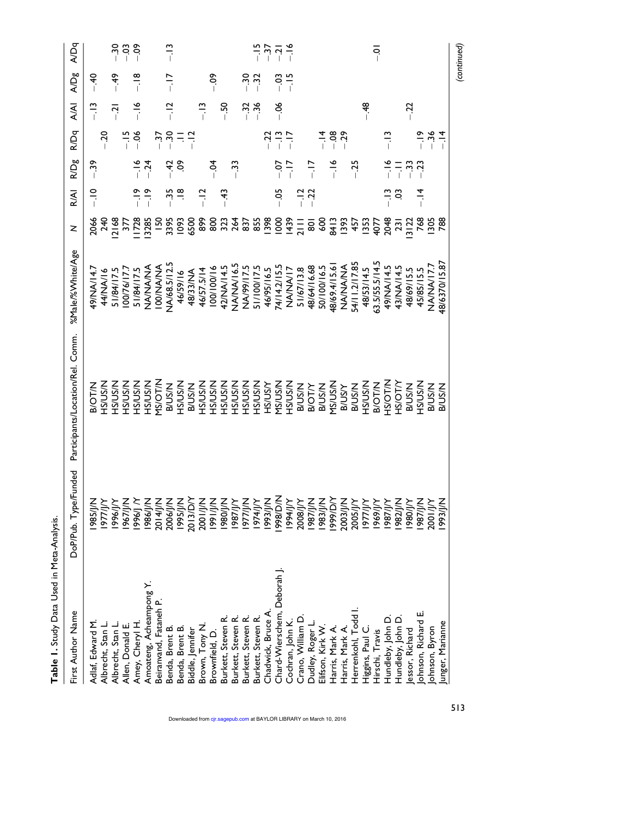| First Author Name           | DoP/Pub. Type/Funded      | Participants/Location/Rel. Comm. | %Male/%White/Age    | z                          | <b>KVS</b>        | R/D <sub>g</sub> | R/Dq                        | <b>A/Al</b>       | A/Dg          | A/Dq              |
|-----------------------------|---------------------------|----------------------------------|---------------------|----------------------------|-------------------|------------------|-----------------------------|-------------------|---------------|-------------------|
| Adlaf, Edward M.            |                           | BIOTIN                           | 19/NA/14.7          | 2066                       | $\frac{1}{\cdot}$ | $-39$            |                             | $\frac{1}{\cdot}$ | $-40$         |                   |
| Albrecht, Stan L.           |                           | HSUSSIN                          | <b>44/NA/16</b>     | 240                        |                   |                  | $-20$                       |                   |               |                   |
| Albrecht, Stan L            |                           | HSJUSIN                          | 51/84/17.5          | 2168                       |                   |                  |                             | $\overline{S}$    | क्            | $-30$             |
| Allen, Donald E.            |                           | HSJUS/N                          | 00/76/17.7          | 577                        |                   |                  | $-15$                       |                   |               | $-0.3$            |
| Amey, Cheryl H.             |                           | HSUSSN                           | 51/84/17.5          | 1728                       | $\frac{9}{1}$     | $-16$<br>$-24$   | 90'                         | ه <sub>آ</sub> –  |               | ခဲ့               |
| Amoateng, Acheampong Y.     |                           | HSJUS/N                          | <b>ANANAN</b>       | 3285                       | $rac{9}{1}$       |                  |                             |                   |               |                   |
| Beiranvand, Fataneh P.      | 2014/J/N                  | <b>MS/OT/N</b>                   | ANANANA             | $\frac{50}{2}$             |                   |                  |                             |                   |               |                   |
| Benda, Brent B.             | 2006/J/N                  | <b>B/US/N</b>                    | <b>NA/68.5/12.5</b> | 3395                       | $-35$             | ਦ੍ਰ              | $-37$<br>5.5                | $-12$             |               | $\frac{1}{\cdot}$ |
| Benda, Brent B.             | <b>N/I/S661</b>           | HSJUSIN                          | 46/59/16            | 1093                       | $\frac{8}{1}$     | S.               | Ξ                           |                   |               |                   |
| Biddle, Jennifer            | 2013/D/Y                  | <b>B/US/N</b>                    | 48/33/NA            | 6500                       |                   |                  | $\frac{1}{2}$               |                   |               |                   |
| Brown, Tony N               | 2001/J/N                  | HSJUSIN                          | 46/57.5/14          | 899                        | $-12$             |                  |                             | $\frac{1}{1}$     |               |                   |
| Brownfield, D               | N//1661                   | HSJUS/N                          | 00/100/16           | 800                        |                   | ≵<br>−           |                             |                   | ငိ            |                   |
| Burkett, Steven R.          | l/[/086                   | HSUSIN                           | 42/NA/14.5          | 323<br>264                 | $-43$             |                  |                             | ں<br>-<br>-       |               |                   |
| Burkett, Steven R.          | <b>NI/1861</b>            | HSUSIN                           | NA/NA/16.5          |                            |                   | م.<br>-          |                             |                   |               |                   |
| Burkett, Steven R.          | <b>WIFLIGH</b><br>NIFLIGH | HSJUSIN                          | NA/99/17.5          | 837                        |                   |                  |                             | $-32$             | $\frac{5}{1}$ |                   |
| Burkett, Steven R.          | 1074/J                    | HS/US/N                          | 51/100/17.5         | 855                        |                   |                  |                             | $-36$             | $-32$         | $-15$             |
| Chadwick, Bruce A.          | <b>N/(1666</b>            | KSNGH                            | 46/95/16.5          | 398                        |                   |                  | $-22$                       |                   |               |                   |
| Chard-Wierschem, Deborah J. | N/C/866                   | <b>MSUSSN</b>                    | 74/14.2/15.5        | 1000<br>1439               | - 35              | ģ                | $\frac{1}{1}$ $\frac{1}{1}$ | ಿಂ                | $-0.3$        | $-25.7$           |
| Cochran, John K.            | <b>A/I/+661</b>           | HSUSSN                           | <b>NANAZ</b>        |                            |                   | $\frac{5}{1}$    |                             |                   | $-15$         |                   |
| Crano, William D            | $2008$ / $\gamma$         | <b>B/US/N</b>                    | 51/67/13.8          | $\frac{1}{2}$              | $-12$<br>$-22$    |                  |                             |                   |               |                   |
| Dudley, Roger L             | N///86                    | <b>B/OT/Y</b>                    | 48/64/16.68         | <u>ន</u>                   |                   | $\frac{5}{1}$    |                             |                   |               |                   |
| Elifson, Kirk W             | I983/J/N                  | <b>B/US/N</b>                    | 50/100/16.5         | S <sub>0</sub>             |                   |                  | $\frac{4}{1}$               |                   |               |                   |
| Harris, Mark A              | <b>V/C/666</b>            | <b>MSNSW</b>                     | 48/69.4/15.61       | $\frac{3413}{2}$           |                   | ە<br>-           | $-38$                       |                   |               |                   |
| Harris, Mark A              | 2003/J/N                  | <b>R/US/Y</b>                    | <b>ANANANA</b>      | <b>1393</b>                |                   |                  |                             |                   |               |                   |
| Todd I<br>Herrenkohl,       | 2005/J/Y                  | <b>B/US/N</b>                    | 54/11.2/17.85       | 457                        |                   | $-25$            |                             |                   |               |                   |
| Higgins, Paul C.            | ≻<br>J//261               | <b>HSUSN</b>                     | 48/53/14.5          | <b>1353</b>                |                   |                  |                             | $-48$             |               |                   |
| Hirschi, Travis             | ≻<br>//696                | <b>B/OT/N</b>                    | 63.5/55.5/14.5      | 4077                       |                   |                  |                             |                   |               | آد<br>أ           |
| Hundleby, John D.           | <b>A/[/2861</b>           | <b>A/LO/SF</b>                   | 49/NA/14.5          | 2048                       | $\frac{1}{\cdot}$ | $\frac{6}{1}$    | $\frac{1}{\cdot}$           |                   |               |                   |
| Hundleby, John D            | N/0881<br>N/0881          | <b>HS/OT/Y</b>                   | 43/NA/14.5          | $\overline{2}$             | S                 | 두                |                             |                   |               |                   |
| essor, Richard              |                           | <b>B/US/N</b>                    | 48/69/15.5          | 3122                       |                   | $\frac{33}{2}$   |                             | -22               |               |                   |
| ohnson, Richard E.          | N/[/2861                  | <b>HSUSN</b>                     | 45/85/15.5          |                            | $\frac{4}{1}$     | <u>ي</u> -       | $-19$                       |                   |               |                   |
| ohnson, Byron               | 2001/J/Y                  | <b>B/US/N</b>                    | NA/NA/17.7          | <b>262</b><br>2015<br>2017 |                   |                  | $-36$                       |                   |               |                   |
| lunger, Marianne            | 993/J/N                   | <b>B/US/N</b>                    | 48/6370/15.87       |                            |                   |                  | $\frac{4}{1}$               |                   |               |                   |

Downloaded from cjr.sagepub.com at BAYLOR LIBRARY on March 10, 2016

Table I. Study Data U s e d in Σ, leta-Analy

sis.

513

(c o n tin u e d)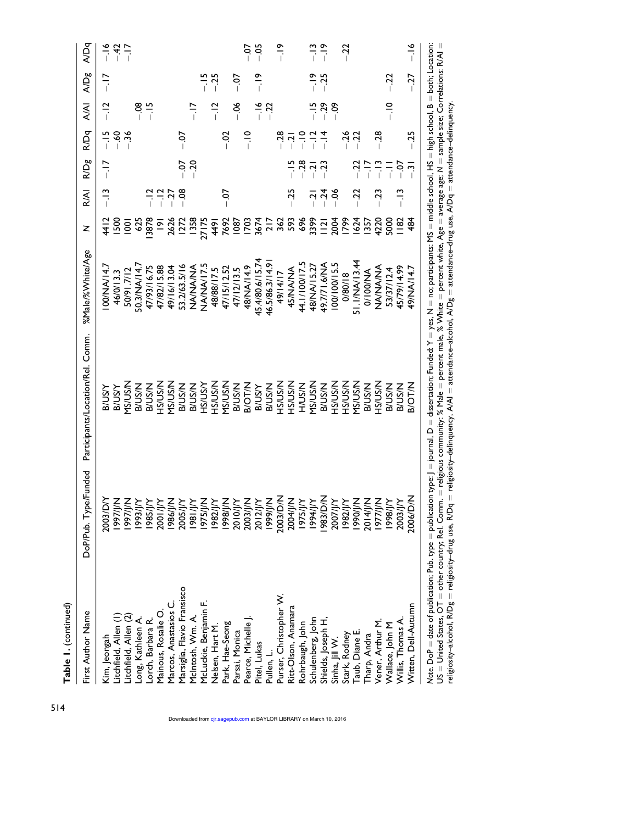| Table 1. (continued)        |                                            |                                                                                                                                                                                               |                  |                |                   |                   |                |                |                  |                             |
|-----------------------------|--------------------------------------------|-----------------------------------------------------------------------------------------------------------------------------------------------------------------------------------------------|------------------|----------------|-------------------|-------------------|----------------|----------------|------------------|-----------------------------|
| First Author Name           | DoP/Pub. Type/Funded                       | Participants/Location/Rel. Comm.                                                                                                                                                              | %Male/%White/Age | z              | R/AI              | R/D <sub>g</sub>  | R/Dq           | <b>A/AI</b>    | A/D <sub>g</sub> | A/Dq                        |
| Kim, Jeongah                | 2003/D/Y                                   | <b>B/US/Y</b>                                                                                                                                                                                 | 00/NA/14.7       | $rac{1}{4}$    | ت<br>آ            | $-17$             | $-15$          | $-12$          | $\frac{5}{1}$    |                             |
| Litchfield, Allen (I)       |                                            | <b>B/US/Y</b>                                                                                                                                                                                 | 46/0/13.3        | 1500           |                   |                   |                |                |                  | $-4.7$<br>$-1.7$            |
| Litchfield, Allen (2)       | <b><i>NIre61</i></b><br>NI/Le61<br>NI/Le61 | <b>ASUSN</b>                                                                                                                                                                                  | 50/91.7/12       | $\overline{8}$ |                   |                   | $-36$          |                |                  |                             |
| Long, Kathleen A.           |                                            | <b>B/US/N</b>                                                                                                                                                                                 | 50.3/NA/14.7     | 625            |                   |                   |                | $-08$          |                  |                             |
| Lorch, Barbara R            | と<br>1985/J                                | <b>B/US/N</b>                                                                                                                                                                                 | 47/93/16.75      | 3878           | $\frac{2}{1}$     |                   |                | $-15$          |                  |                             |
| Mainous, Rosalie O          | $\succ$ $\leq$<br>2001/                    | <b>ASUSN</b>                                                                                                                                                                                  | 47/82/15.88      | $\overline{5}$ | $-12$<br>$-27$    |                   |                |                |                  |                             |
| Marcos, Anastasios C.       | 1986/J                                     | <b>ASUSN</b>                                                                                                                                                                                  | 49/16/13.04      |                |                   |                   |                |                |                  |                             |
| Marsiglia, Flavio Fransisco | と<br>2005/J                                | <b>B/US/N</b>                                                                                                                                                                                 | 53.2/63.5/16     | 2626<br>1272   | <u>ვე</u>         | - p<br>           | io−            |                |                  |                             |
| McIntosh, Wm. A.            | ≿<br>1981/                                 | <b>B/US/N</b>                                                                                                                                                                                 | <b>ANANANIA</b>  | <b>1358</b>    |                   | $-20$             |                | $-17$          |                  |                             |
| McLuckie, Benjamin F.       | ξ<br>1975/J                                | <b>KSNSH</b>                                                                                                                                                                                  | NA/NA/I7.5       | 27175          |                   |                   |                |                | يا۔<br>-         |                             |
| Nelsen, Hart M              | ミ<br>1982/J                                | <b>ASSINSH</b>                                                                                                                                                                                | 48/88/17.5       | 4491           |                   |                   |                | $-12$          | $-25$            |                             |
| Park, Hae-Seong             | N//8661                                    | <b>ASUSN</b>                                                                                                                                                                                  | 47/15/12.52      | 7692           | io-               |                   | ¦<br>⊖         |                |                  |                             |
| Parsai, Monica              | 2010/JY                                    | NSNB                                                                                                                                                                                          | 47/12/13.5       |                |                   |                   |                | $-06$          | Ģ                |                             |
| Pearce, Michelle            |                                            | <b>B/OT/N</b>                                                                                                                                                                                 | 48/NA/14.9       | 1801           |                   |                   | $\frac{1}{1}$  |                |                  | $-0$                        |
| Pitel, Lukas                | 2003/J/N<br>2012/J/Y                       | <b>B/US/Y</b>                                                                                                                                                                                 | 45.4/80.6/15.74  | 3674<br>217    |                   |                   |                | $-\frac{6}{1}$ | $rac{9}{1}$      | $-05$                       |
| Pullen, L.                  | <b>N//6661</b>                             | <b>B/US/N</b>                                                                                                                                                                                 | 46.5/86.3/14.9   |                |                   |                   |                | $-22$          |                  |                             |
| Purser, Christopher W.      | 2003/D/N                                   | <b>ASUSN</b>                                                                                                                                                                                  | 49/14/17         |                |                   |                   |                |                |                  | $rac{5}{1}$                 |
| Ritt-Olson, Anamara         | 2004/J/N<br>1975/J/Y                       | <b>ASUSN</b>                                                                                                                                                                                  | AS/NA/NA         | 363<br>598     | $-25$             | $-15$             | $-28$<br>$-10$ |                |                  |                             |
| Rohrbaugh, John             |                                            | HVJS/N                                                                                                                                                                                        | 44.1/100/17.5    |                |                   | $-28$             |                |                |                  |                             |
| Schulenberg, John           | <b>J//r661</b>                             | <b>NSUSN</b>                                                                                                                                                                                  | 48/NA/15.27      | 3399           | $\overline{5}$    | $-21$             | $\frac{1}{1}$  |                | $rac{6}{\cdot}$  | $\frac{2}{1}$ $\frac{5}{1}$ |
| Shields, Joseph H           | 983/D/N                                    | <b>B/US/N</b>                                                                                                                                                                                 | 49.7/71.6/NA     |                | $-24$             |                   | $\frac{4}{1}$  | $-29$          | $-25$            |                             |
| Sinha, Jill W.              | 2007/J/Y                                   | <b>ASUSN</b>                                                                                                                                                                                  | 100/100/15.5     | 2004           | $-06$             |                   |                | ခဲ့            |                  |                             |
| Stark, Rodney               | 1982                                       | <b>ASUSN</b>                                                                                                                                                                                  | 0/80/18          | 1799           |                   |                   | $-38$<br>$-32$ |                |                  | $-22$                       |
| Taub, Diane E.              | N/(he661<br>N/(he661                       | <b>AS/US/N</b>                                                                                                                                                                                | 51.I/NA/13.44    | 1624           | $-22$             | $-22$             |                |                |                  |                             |
| Tharp, Andra                |                                            | <b>N/SNB</b>                                                                                                                                                                                  | <b>Q/100/NA</b>  | <b>1357</b>    |                   | $\frac{5}{1}$     |                |                |                  |                             |
| Vener, Arthur M             | <b>N///261</b>                             | <b>HSUSK</b>                                                                                                                                                                                  | <b>ANANANA</b>   | 4220           | $-23$             | $\frac{1}{\cdot}$ | $-28$          |                |                  |                             |
| Wallace, John M             | $\succ$<br>18661                           | <b>N/SNB</b>                                                                                                                                                                                  | 53/37/12.4       | 5000           |                   | 두                 |                | $\frac{1}{1}$  | -22              |                             |
| Willis, Thomas A            | $\succ$<br>2003                            | <b>N/SNB</b>                                                                                                                                                                                  | 45/79/14.99      | $\frac{82}{2}$ | $\frac{1}{\cdot}$ | $-0$              |                |                |                  |                             |
| Witten, Dell-Autumn         | 2006/D/N                                   | <b>N/LO/S</b>                                                                                                                                                                                 | 49/NA/14.7       | 484            |                   | $\overline{r}$    | $-25$          |                | ĽΣ               | $-16$                       |
|                             |                                            | Note. DoP = date of publication; Pub. type = publication type:   = journal, D = dissertation; Funded: Y = yes, N = no; participants: MS = middle school, HS = high school, B = both; Location |                  |                |                   |                   |                |                |                  |                             |

Downloaded from cjr.sagepub.com at BAYLOR LIBRARY on March 10, 2016

U S ¼ United States, OT  $\parallel$ o t h e r c o u n t ry; R el. Comm. = religious community: % M ale  $\parallel$ percent male, % ≶ hit e ¼ p e r c e n t w hit e, Ag e ¼ average age; N  $\parallel$ s a m ple siz e; C o r r ela tions:  $R/A =$ r eligio sit y– alc o h ol, R/D g ¼ r eligio sit y– d r u g u s e, R/D q ¼ religiosity-delinquency, A/AI = attendance-alcohol, A/Dg = attendance-drug use, A/Dq = attendance-delinquency.

514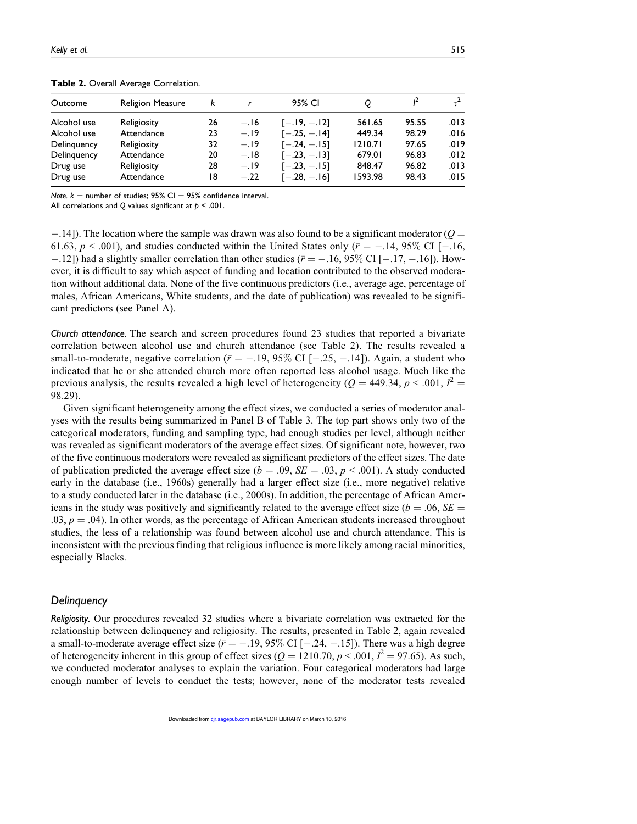| Outcome     | <b>Religion Measure</b> | k  |        | 95% CI         |         |       | $\tau^2$ |
|-------------|-------------------------|----|--------|----------------|---------|-------|----------|
| Alcohol use | Religiosity             | 26 | $-.16$ | $[-.19, -.12]$ | 561.65  | 95.55 | .013     |
| Alcohol use | Attendance              | 23 | $-.19$ | $[-.25, -.14]$ | 449.34  | 98.29 | .016     |
| Delinguency | Religiosity             | 32 | $-.19$ | $[-.24, -.15]$ | 1210.71 | 97.65 | .019     |
| Delinguency | Attendance              | 20 | $-.18$ | $[-.23, -.13]$ | 679.01  | 96.83 | .012     |
| Drug use    | Religiosity             | 28 | $-.19$ | $[-.23, -.15]$ | 848.47  | 96.82 | .013     |
| Drug use    | Attendance              | 18 | $-.22$ | $[-.28, -.16]$ | 1593.98 | 98.43 | .015     |

Table 2. Overall Average Correlation.

Note.  $k =$  number of studies; 95% CI = 95% confidence interval.

All correlations and Q values significant at  $p < .001$ .

 $[-14]$ ). The location where the sample was drawn was also found to be a significant moderator ( $Q =$ 61.63,  $p < .001$ ), and studies conducted within the United States only ( $\bar{r} = -.14, 95\%$  CI [ $-.16,$  $[-12]$ ) had a slightly smaller correlation than other studies ( $\bar{r} = -.16, 95\%$  CI [ $-.17, -.16$ ]). However, it is difficult to say which aspect of funding and location contributed to the observed moderation without additional data. None of the five continuous predictors (i.e., average age, percentage of males, African Americans, White students, and the date of publication) was revealed to be significant predictors (see Panel A).

Church attendance. The search and screen procedures found 23 studies that reported a bivariate correlation between alcohol use and church attendance (see Table 2). The results revealed a small-to-moderate, negative correlation ( $\bar{r} = -.19, 95\%$  CI [ $-.25, -.14$ ]). Again, a student who indicated that he or she attended church more often reported less alcohol usage. Much like the previous analysis, the results revealed a high level of heterogeneity ( $Q = 449.34$ ,  $p < .001$ ,  $I^2 =$ 98.29).

Given significant heterogeneity among the effect sizes, we conducted a series of moderator analyses with the results being summarized in Panel B of Table 3. The top part shows only two of the categorical moderators, funding and sampling type, had enough studies per level, although neither was revealed as significant moderators of the average effect sizes. Of significant note, however, two of the five continuous moderators were revealed as significant predictors of the effect sizes. The date of publication predicted the average effect size ( $b = .09$ ,  $SE = .03$ ,  $p < .001$ ). A study conducted early in the database (i.e., 1960s) generally had a larger effect size (i.e., more negative) relative to a study conducted later in the database (i.e., 2000s). In addition, the percentage of African Americans in the study was positively and significantly related to the average effect size ( $b = .06$ ,  $SE =$ .03,  $p = .04$ ). In other words, as the percentage of African American students increased throughout studies, the less of a relationship was found between alcohol use and church attendance. This is inconsistent with the previous finding that religious influence is more likely among racial minorities, especially Blacks.

### **Delinquency**

Religiosity. Our procedures revealed 32 studies where a bivariate correlation was extracted for the relationship between delinquency and religiosity. The results, presented in Table 2, again revealed a small-to-moderate average effect size ( $\bar{r} = -.19, 95\%$  CI [ $-.24, -.15$ ]). There was a high degree of heterogeneity inherent in this group of effect sizes ( $Q = 1210.70, p < .001, I^2 = 97.65$ ). As such, we conducted moderator analyses to explain the variation. Four categorical moderators had large enough number of levels to conduct the tests; however, none of the moderator tests revealed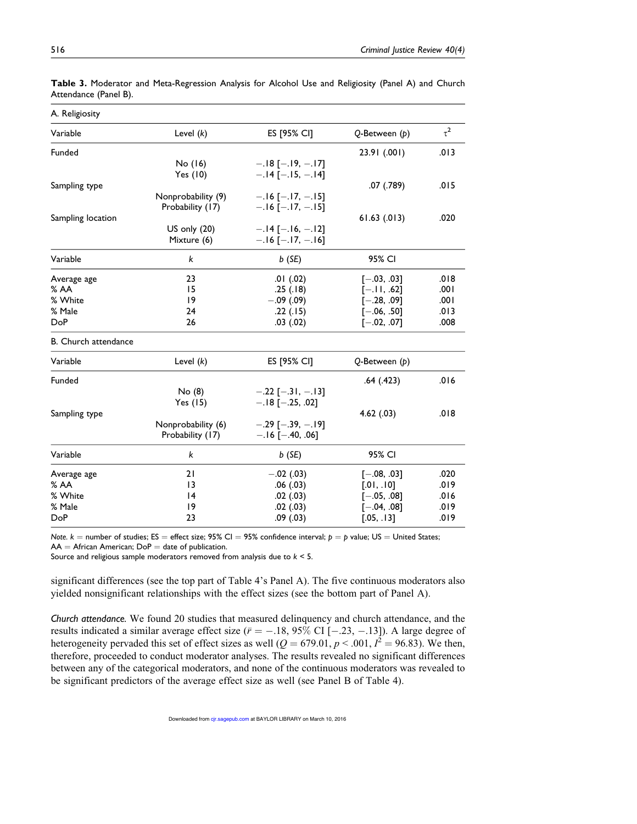| A. Religiosity              |                    |                         |                    |          |
|-----------------------------|--------------------|-------------------------|--------------------|----------|
| Variable                    | Level $(k)$        | ES [95% CI]             | $Q$ -Between $(p)$ | $\tau^2$ |
| Funded                      |                    |                         | 23.91 (.001)       | .013     |
|                             | No (16)            | $-.18[-.19, -.17]$      |                    |          |
|                             | Yes (10)           | $-.14$ [ $-.15, -.14$ ] |                    |          |
| Sampling type               |                    |                         | .07 (.789)         | .015     |
|                             | Nonprobability (9) | $-.16[-.17, -.15]$      |                    |          |
|                             | Probability (17)   | $-.16$ [ $-.17, -.15$ ] |                    |          |
| Sampling location           |                    |                         | 61.63(013)         | .020     |
|                             | $US$ only $(20)$   | $-.14$ [ $-.16, -.12$ ] |                    |          |
|                             | Mixture (6)        | $-.16$ [ $-.17, -.16$ ] |                    |          |
| Variable                    | k                  | b(SE)                   | 95% CI             |          |
| Average age                 | 23                 | $.01$ $(.02)$           | $[-.03, .03]$      | .018     |
| % AA                        | 15                 | .25(.18)                | $[-.11, .62]$      | .001     |
| % White                     | 9                  | $-.09(.09)$             | $[-.28, .09]$      | .001     |
| % Male                      | 24                 | .22(.15)                | $[-.06, .50]$      | .013     |
| <b>DoP</b>                  | 26                 | .03(0.02)               | $[-.02, .07]$      | .008     |
| <b>B.</b> Church attendance |                    |                         |                    |          |
| Variable                    | Level $(k)$        | ES [95% CI]             | $Q$ -Between $(p)$ |          |
| Funded                      |                    |                         | .64(.423)          | .016     |
|                             | No (8)             | $-.22$ [ $-.31, -.13$ ] |                    |          |
|                             | Yes (15)           | $-.18$ [ $-.25, .02$ ]  |                    |          |
| Sampling type               |                    |                         | 4.62(0.03)         | .018     |
|                             | Nonprobability (6) | $-.29$ [ $-.39, -.19$ ] |                    |          |
|                             | Probability (17)   | $-.16$ [ $-.40, .06$ ]  |                    |          |
| Variable                    | k                  | b(SE)                   | 95% CI             |          |
| Average age                 | 21                 | $-.02(.03)$             | $[-.08, .03]$      | .020     |
| % AA                        | 13                 | .06(0.03)               | [.01, .10]         | .019     |
| % White                     | 4                  | .02(0.03)               | $[-.05, .08]$      | .016     |
| % Male                      | 19                 | .02(0.03)               | $[-.04, .08]$      | .019     |
| <b>DoP</b>                  | 23                 | .09(0.03)               | [.05, .13]         | .019     |

Table 3. Moderator and Meta-Regression Analysis for Alcohol Use and Religiosity (Panel A) and Church Attendance (Panel B).

Note.  $k =$  number of studies; ES = effect size; 95% CI = 95% confidence interval;  $p = p$  value; US = United States;  $AA =$  African American; DoP = date of publication.

Source and religious sample moderators removed from analysis due to  $k \leq 5$ .

significant differences (see the top part of Table 4's Panel A). The five continuous moderators also yielded nonsignificant relationships with the effect sizes (see the bottom part of Panel A).

Church attendance. We found 20 studies that measured delinquency and church attendance, and the results indicated a similar average effect size ( $\bar{r} = -.18, 95\%$  CI [ $-.23, -.13$ ]). A large degree of heterogeneity pervaded this set of effect sizes as well  $(Q = 679.01, p < .001, I^2 = 96.83)$ . We then, therefore, proceeded to conduct moderator analyses. The results revealed no significant differences between any of the categorical moderators, and none of the continuous moderators was revealed to be significant predictors of the average effect size as well (see Panel B of Table 4).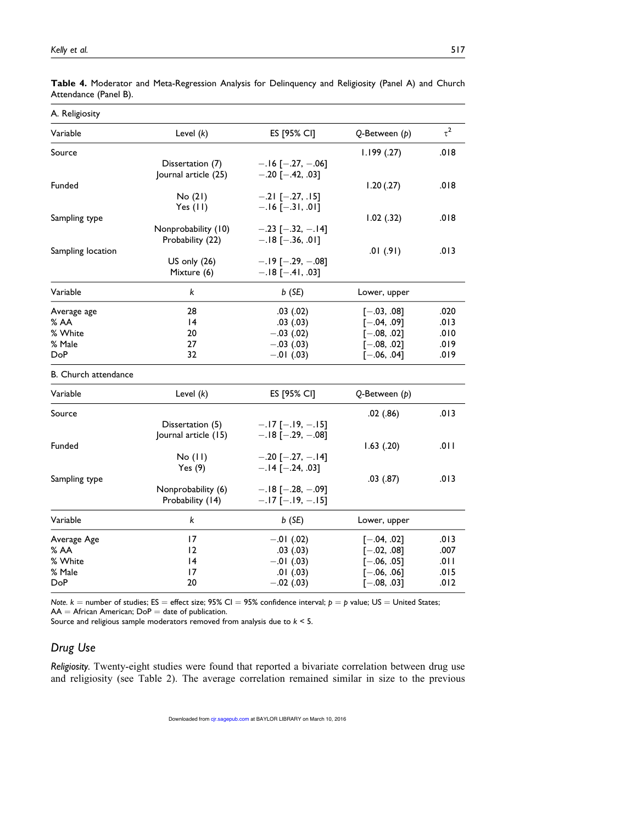| A. Religiosity              |                          |                                              |                                |              |
|-----------------------------|--------------------------|----------------------------------------------|--------------------------------|--------------|
| Variable                    | Level $(k)$              | ES [95% CI]                                  | $Q$ -Between $(p)$             | $\tau^2$     |
| Source                      |                          |                                              | 1.199(0.27)                    | .018         |
|                             | Dissertation (7)         | $-.16$ [ $-.27, -.06$ ]                      |                                |              |
| Funded                      | Journal article (25)     | $-.20$ [ $-.42, .03$ ]                       | 1.20(0.27)                     | .018         |
|                             | No(21)                   | $-.21$ [ $-.27, .15$ ]                       |                                |              |
|                             | Yes $(11)$               | $-.16$ [ $-.31, .01$ ]                       |                                |              |
| Sampling type               |                          |                                              | 1.02(0.32)                     | .018         |
|                             | Nonprobability (10)      | $-.23$ [ $-.32, -.14$ ]                      |                                |              |
|                             | Probability (22)         | $-.18$ [ $-.36, .01$ ]                       |                                |              |
| Sampling location           | US only $(26)$           | $-.19$ [ $-.29, -.08$ ]                      | .01(.91)                       | .013         |
|                             | Mixture (6)              | $-.18$ [ $-.41, .03$ ]                       |                                |              |
|                             |                          |                                              |                                |              |
| Variable                    | k                        | b(SE)                                        | Lower, upper                   |              |
| Average age                 | 28                       | .03(0.02)                                    | $[-.03, .08]$                  | .020         |
| % AA                        | 14                       | .03(0.03)                                    | $[-.04, .09]$                  | .013         |
| % White                     | 20                       | $-.03(.02)$                                  | $[-.08, .02]$                  | .010         |
| % Male<br><b>DoP</b>        | 27<br>32                 | $-.03(.03)$                                  | $[-.08, .02]$<br>$[-.06, .04]$ | .019<br>.019 |
|                             |                          | $-.01$ (.03)                                 |                                |              |
| <b>B.</b> Church attendance |                          |                                              |                                |              |
| Variable                    | Level $(k)$              | ES [95% CI]                                  | Q-Between (p)                  |              |
| Source                      |                          |                                              | .02(0.86)                      | .013         |
|                             | Dissertation (5)         | $-.17$ [ $-.19,-.15$ ]                       |                                |              |
|                             | Journal article (15)     | $-.18[-.29, -.08]$                           |                                |              |
| Funded                      |                          |                                              | $1.63$ (.20)                   | .011         |
|                             | $No$ $(11)$<br>Yes $(9)$ | $-.20[-.27, -.14]$<br>$-.14$ [ $-.24, .03$ ] |                                |              |
| Sampling type               |                          |                                              | .03(.87)                       | .013         |
|                             | Nonprobability (6)       | $-.18$ [ $-.28, -.09$ ]                      |                                |              |
|                             | Probability (14)         | $-.17$ [ $-.19, -.15$ ]                      |                                |              |
| Variable                    | k                        | b(SE)                                        | Lower, upper                   |              |
| Average Age                 | 17                       | $-.01$ (.02)                                 | $[-.04, .02]$                  | .013         |
| % AA                        | 12                       | .03(0.03)                                    | $[-.02, .08]$                  | .007         |
| % White                     | 14                       | $-.01$ (.03)                                 | $[-.06, .05]$                  | .011         |
| % Male                      | 17                       | .01(0.03)                                    | $[-.06, .06]$                  | .015         |
| DoP                         | 20                       | $-.02(.03)$                                  | $[-.08, .03]$                  | .012         |

| Table 4. Moderator and Meta-Regression Analysis for Delinquency and Religiosity (Panel A) and Church |  |  |  |
|------------------------------------------------------------------------------------------------------|--|--|--|
| Attendance (Panel B).                                                                                |  |  |  |

Note.  $k =$  number of studies; ES = effect size; 95% CI = 95% confidence interval;  $p = p$  value; US = United States;  $AA =$  African American; DoP  $=$  date of publication.

Source and religious sample moderators removed from analysis due to  $k < 5$ .

# Drug Use

Religiosity. Twenty-eight studies were found that reported a bivariate correlation between drug use and religiosity (see Table 2). The average correlation remained similar in size to the previous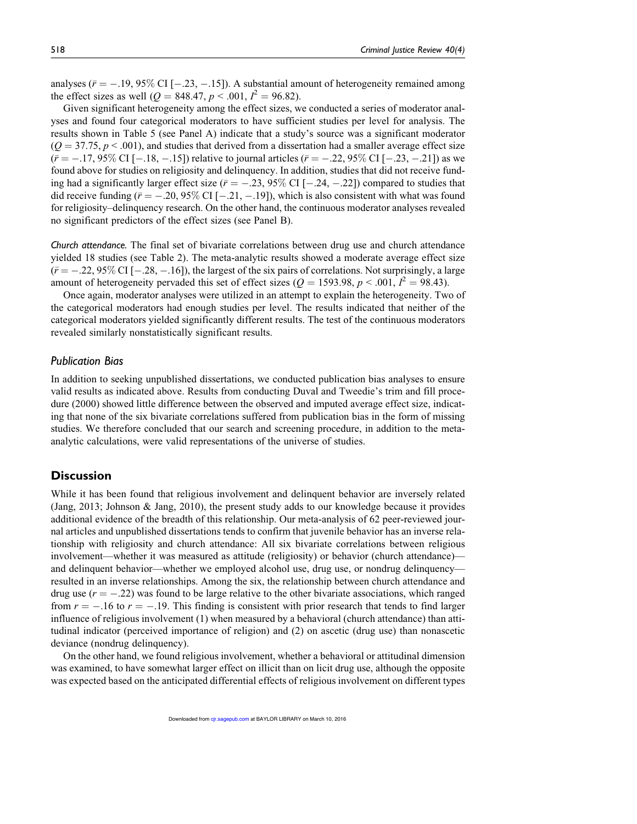analyses ( $\bar{r} = -.19, 95\%$  CI [ $-.23, -.15$ ]). A substantial amount of heterogeneity remained among the effect sizes as well ( $Q = 848.47, p < .001, I^2 = 96.82$ ).

Given significant heterogeneity among the effect sizes, we conducted a series of moderator analyses and found four categorical moderators to have sufficient studies per level for analysis. The results shown in Table 5 (see Panel A) indicate that a study's source was a significant moderator  $(Q = 37.75, p < .001)$ , and studies that derived from a dissertation had a smaller average effect size  $(\bar{r} = -.17, 95\% \text{ CI} [-.18, -.15])$  relative to journal articles  $(\bar{r} = -.22, 95\% \text{ CI} [-.23, -.21])$  as we found above for studies on religiosity and delinquency. In addition, studies that did not receive funding had a significantly larger effect size ( $\bar{r} = -.23, 95\%$  CI [ $-.24, -.22$ ]) compared to studies that did receive funding ( $\bar{r} = -.20, 95\%$  CI [ $-.21, -.19$ ]), which is also consistent with what was found for religiosity–delinquency research. On the other hand, the continuous moderator analyses revealed no significant predictors of the effect sizes (see Panel B).

Church attendance. The final set of bivariate correlations between drug use and church attendance yielded 18 studies (see Table 2). The meta-analytic results showed a moderate average effect size  $(\bar{r} = -.22, 95\% \text{ CI} [-.28, -.16])$ , the largest of the six pairs of correlations. Not surprisingly, a large amount of heterogeneity pervaded this set of effect sizes ( $Q = 1593.98$ ,  $p < .001$ ,  $I^2 = 98.43$ ).

Once again, moderator analyses were utilized in an attempt to explain the heterogeneity. Two of the categorical moderators had enough studies per level. The results indicated that neither of the categorical moderators yielded significantly different results. The test of the continuous moderators revealed similarly nonstatistically significant results.

### Publication Bias

In addition to seeking unpublished dissertations, we conducted publication bias analyses to ensure valid results as indicated above. Results from conducting Duval and Tweedie's trim and fill procedure (2000) showed little difference between the observed and imputed average effect size, indicating that none of the six bivariate correlations suffered from publication bias in the form of missing studies. We therefore concluded that our search and screening procedure, in addition to the metaanalytic calculations, were valid representations of the universe of studies.

# **Discussion**

While it has been found that religious involvement and delinquent behavior are inversely related (Jang, 2013; Johnson & Jang, 2010), the present study adds to our knowledge because it provides additional evidence of the breadth of this relationship. Our meta-analysis of 62 peer-reviewed journal articles and unpublished dissertations tends to confirm that juvenile behavior has an inverse relationship with religiosity and church attendance: All six bivariate correlations between religious involvement—whether it was measured as attitude (religiosity) or behavior (church attendance) and delinquent behavior—whether we employed alcohol use, drug use, or nondrug delinquency resulted in an inverse relationships. Among the six, the relationship between church attendance and drug use  $(r = -.22)$  was found to be large relative to the other bivariate associations, which ranged from  $r = -.16$  to  $r = -.19$ . This finding is consistent with prior research that tends to find larger influence of religious involvement (1) when measured by a behavioral (church attendance) than attitudinal indicator (perceived importance of religion) and (2) on ascetic (drug use) than nonascetic deviance (nondrug delinquency).

On the other hand, we found religious involvement, whether a behavioral or attitudinal dimension was examined, to have somewhat larger effect on illicit than on licit drug use, although the opposite was expected based on the anticipated differential effects of religious involvement on different types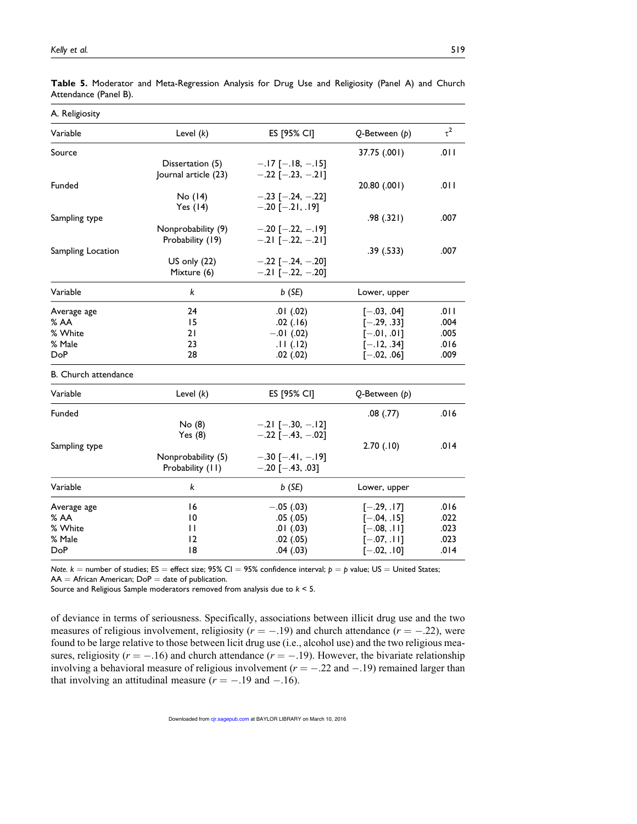| A. Religiosity       |                      |                         |               |          |
|----------------------|----------------------|-------------------------|---------------|----------|
| Variable             | Level $(k)$          | ES [95% CI]             | Q-Between (p) | $\tau^2$ |
| Source               |                      |                         | 37.75 (.001)  | .011     |
|                      | Dissertation (5)     | $-.17$ [ $-.18, -.15$ ] |               |          |
|                      | Journal article (23) | $-.22$ [ $-.23, -.21$ ] |               |          |
| Funded               |                      |                         | 20.80 (.001)  | .011     |
|                      | No (14)              | $-.23$ [ $-.24, -.22$ ] |               |          |
| Sampling type        | Yes $(14)$           | $-.20$ [ $-.21, .19$ ]  | .98(.321)     | .007     |
|                      | Nonprobability (9)   | $-.20$ [ $-.22, -.19$ ] |               |          |
|                      | Probability (19)     | $-.21$ [ $-.22, -.21$ ] |               |          |
| Sampling Location    |                      |                         | .39(.533)     | .007     |
|                      | US only $(22)$       | $-.22$ [ $-.24, -.20$ ] |               |          |
|                      | Mixture (6)          | $-.21$ [ $-.22, -.20$ ] |               |          |
| Variable             | k                    | b(SE)                   | Lower, upper  |          |
| Average age          | 24                   | .01(.02)                | $[-.03, .04]$ | .011     |
| % AA                 | 15                   | .02(.16)                | $[-.29, .33]$ | .004     |
| % White              | 21                   | $-.01$ (.02)            | $[-.01, .01]$ | .005     |
| % Male               | 23                   | .11(.12)                | $[-.12, .34]$ | .016     |
| DoP                  | 28                   | .02(.02)                | $[-.02, .06]$ | .009     |
| B. Church attendance |                      |                         |               |          |
| Variable             | Level $(k)$          | ES [95% CI]             | Q-Between (p) |          |
| Funded               |                      |                         | .08(.77)      | .016     |
|                      | No (8)               | $-.21$ [ $-.30, -.12$ ] |               |          |
|                      | Yes $(8)$            | $-.22$ [ $-.43, -.02$ ] |               |          |
| Sampling type        |                      |                         | 2.70(.10)     | .014     |
|                      | Nonprobability (5)   | $-.30$ [ $-.41, -.19$ ] |               |          |
|                      | Probability (11)     | $-.20$ [ $-.43, .03$ ]  |               |          |
| Variable             | k                    | b(SE)                   | Lower, upper  |          |
| Average age          | 16                   | $-.05(.03)$             | $[-.29, .17]$ | .016     |
| % AA                 | $\overline{10}$      | .05(0.05)               | $[-.04, .15]$ | .022     |
| % White              | $\mathsf{H}$         | .01(03)                 | $[-.08, .11]$ | .023     |
| % Male               | 12                   | .02(0.05)               | $[-.07, .11]$ | .023     |
| DoP                  | 18                   | .04(.03)                | $[-.02, .10]$ | .014     |

|                       | Table 5. Moderator and Meta-Regression Analysis for Drug Use and Religiosity (Panel A) and Church |  |  |  |  |  |
|-----------------------|---------------------------------------------------------------------------------------------------|--|--|--|--|--|
| Attendance (Panel B). |                                                                                                   |  |  |  |  |  |

Note.  $k =$  number of studies; ES = effect size; 95% CI = 95% confidence interval;  $p = p$  value; US = United States;

 $AA =$  African American;  $DoP =$  date of publication.

Source and Religious Sample moderators removed from analysis due to  $k < 5$ .

of deviance in terms of seriousness. Specifically, associations between illicit drug use and the two measures of religious involvement, religiosity ( $r = -.19$ ) and church attendance ( $r = -.22$ ), were found to be large relative to those between licit drug use (i.e., alcohol use) and the two religious measures, religiosity ( $r = -.16$ ) and church attendance ( $r = -.19$ ). However, the bivariate relationship involving a behavioral measure of religious involvement ( $r = -.22$  and  $-.19$ ) remained larger than that involving an attitudinal measure  $(r = -.19$  and  $-.16$ ).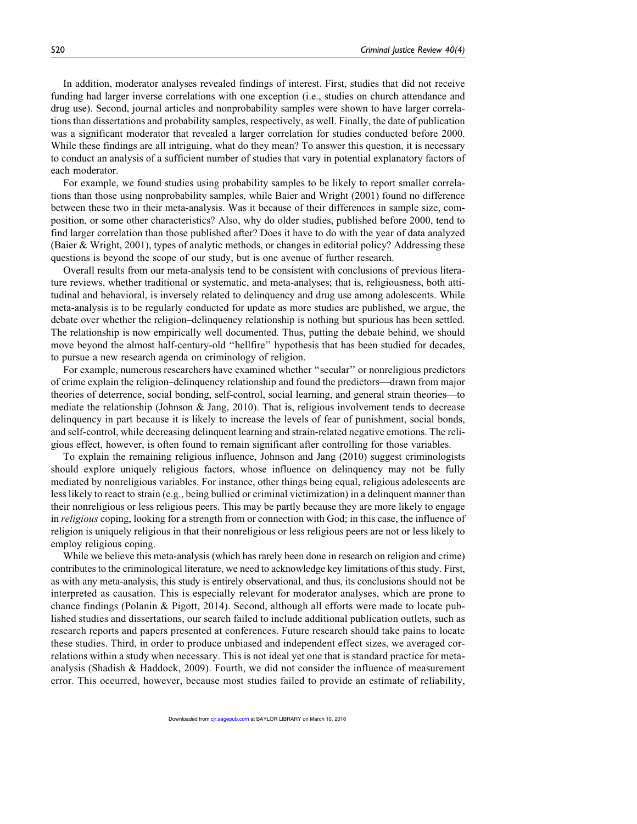In addition, moderator analyses revealed findings of interest. First, studies that did not receive funding had larger inverse correlations with one exception (i.e., studies on church attendance and drug use). Second, journal articles and nonprobability samples were shown to have larger correlations than dissertations and probability samples, respectively, as well. Finally, the date of publication was a significant moderator that revealed a larger correlation for studies conducted before 2000. While these findings are all intriguing, what do they mean? To answer this question, it is necessary to conduct an analysis of a sufficient number of studies that vary in potential explanatory factors of each moderator.

For example, we found studies using probability samples to be likely to report smaller correlations than those using nonprobability samples, while Baier and Wright (2001) found no difference between these two in their meta-analysis. Was it because of their differences in sample size, composition, or some other characteristics? Also, why do older studies, published before 2000, tend to find larger correlation than those published after? Does it have to do with the year of data analyzed (Baier & Wright, 2001), types of analytic methods, or changes in editorial policy? Addressing these questions is beyond the scope of our study, but is one avenue of further research.

Overall results from our meta-analysis tend to be consistent with conclusions of previous literature reviews, whether traditional or systematic, and meta-analyses; that is, religiousness, both attitudinal and behavioral, is inversely related to delinquency and drug use among adolescents. While meta-analysis is to be regularly conducted for update as more studies are published, we argue, the debate over whether the religion–delinquency relationship is nothing but spurious has been settled. The relationship is now empirically well documented. Thus, putting the debate behind, we should move beyond the almost half-century-old ''hellfire'' hypothesis that has been studied for decades, to pursue a new research agenda on criminology of religion.

For example, numerous researchers have examined whether ''secular'' or nonreligious predictors of crime explain the religion–delinquency relationship and found the predictors—drawn from major theories of deterrence, social bonding, self-control, social learning, and general strain theories mediate the relationship (Johnson & Jang, 2010). That is, religious involvement tends to decrease delinquency in part because it is likely to increase the levels of fear of punishment, social bonds, and self-control, while decreasing delinquent learning and strain-related negative emotions. The religious effect, however, is often found to remain significant after controlling for those variables.

To explain the remaining religious influence, Johnson and Jang (2010) suggest criminologists should explore uniquely religious factors, whose influence on delinquency may not be fully mediated by nonreligious variables. For instance, other things being equal, religious adolescents are less likely to react to strain (e.g., being bullied or criminal victimization) in a delinquent manner than their nonreligious or less religious peers. This may be partly because they are more likely to engage in *religious* coping, looking for a strength from or connection with God; in this case, the influence of religion is uniquely religious in that their nonreligious or less religious peers are not or less likely to employ religious coping.

While we believe this meta-analysis (which has rarely been done in research on religion and crime) contributes to the criminological literature, we need to acknowledge key limitations of this study. First, as with any meta-analysis, this study is entirely observational, and thus, its conclusions should not be interpreted as causation. This is especially relevant for moderator analyses, which are prone to chance findings (Polanin & Pigott, 2014). Second, although all efforts were made to locate published studies and dissertations, our search failed to include additional publication outlets, such as research reports and papers presented at conferences. Future research should take pains to locate these studies. Third, in order to produce unbiased and independent effect sizes, we averaged correlations within a study when necessary. This is not ideal yet one that is standard practice for metaanalysis (Shadish & Haddock, 2009). Fourth, we did not consider the influence of measurement error. This occurred, however, because most studies failed to provide an estimate of reliability,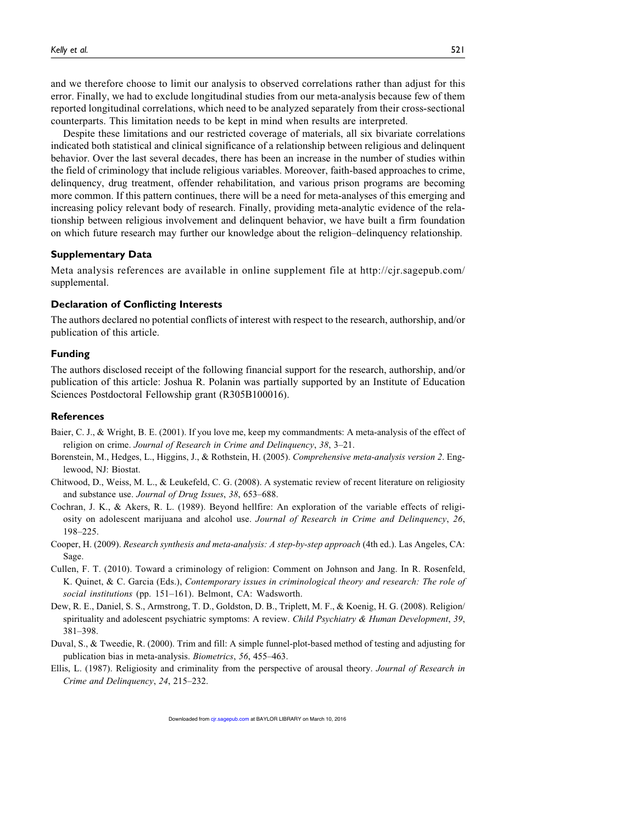and we therefore choose to limit our analysis to observed correlations rather than adjust for this error. Finally, we had to exclude longitudinal studies from our meta-analysis because few of them reported longitudinal correlations, which need to be analyzed separately from their cross-sectional counterparts. This limitation needs to be kept in mind when results are interpreted.

Despite these limitations and our restricted coverage of materials, all six bivariate correlations indicated both statistical and clinical significance of a relationship between religious and delinquent behavior. Over the last several decades, there has been an increase in the number of studies within the field of criminology that include religious variables. Moreover, faith-based approaches to crime, delinquency, drug treatment, offender rehabilitation, and various prison programs are becoming more common. If this pattern continues, there will be a need for meta-analyses of this emerging and increasing policy relevant body of research. Finally, providing meta-analytic evidence of the relationship between religious involvement and delinquent behavior, we have built a firm foundation on which future research may further our knowledge about the religion–delinquency relationship.

#### Supplementary Data

Meta analysis references are available in online supplement file at http://cjr.sagepub.com/ supplemental.

#### Declaration of Conflicting Interests

The authors declared no potential conflicts of interest with respect to the research, authorship, and/or publication of this article.

#### Funding

The authors disclosed receipt of the following financial support for the research, authorship, and/or publication of this article: Joshua R. Polanin was partially supported by an Institute of Education Sciences Postdoctoral Fellowship grant (R305B100016).

#### References

- Baier, C. J., & Wright, B. E. (2001). If you love me, keep my commandments: A meta-analysis of the effect of religion on crime. Journal of Research in Crime and Delinquency, 38, 3–21.
- Borenstein, M., Hedges, L., Higgins, J., & Rothstein, H. (2005). Comprehensive meta-analysis version 2. Englewood, NJ: Biostat.
- Chitwood, D., Weiss, M. L., & Leukefeld, C. G. (2008). A systematic review of recent literature on religiosity and substance use. Journal of Drug Issues, 38, 653–688.
- Cochran, J. K., & Akers, R. L. (1989). Beyond hellfire: An exploration of the variable effects of religiosity on adolescent marijuana and alcohol use. Journal of Research in Crime and Delinquency, 26, 198–225.
- Cooper, H. (2009). Research synthesis and meta-analysis: A step-by-step approach (4th ed.). Las Angeles, CA: Sage.
- Cullen, F. T. (2010). Toward a criminology of religion: Comment on Johnson and Jang. In R. Rosenfeld, K. Quinet, & C. Garcia (Eds.), Contemporary issues in criminological theory and research: The role of social institutions (pp. 151–161). Belmont, CA: Wadsworth.
- Dew, R. E., Daniel, S. S., Armstrong, T. D., Goldston, D. B., Triplett, M. F., & Koenig, H. G. (2008). Religion/ spirituality and adolescent psychiatric symptoms: A review. Child Psychiatry & Human Development, 39, 381–398.
- Duval, S., & Tweedie, R. (2000). Trim and fill: A simple funnel-plot-based method of testing and adjusting for publication bias in meta-analysis. Biometrics, 56, 455–463.
- Ellis, L. (1987). Religiosity and criminality from the perspective of arousal theory. Journal of Research in Crime and Delinquency, 24, 215–232.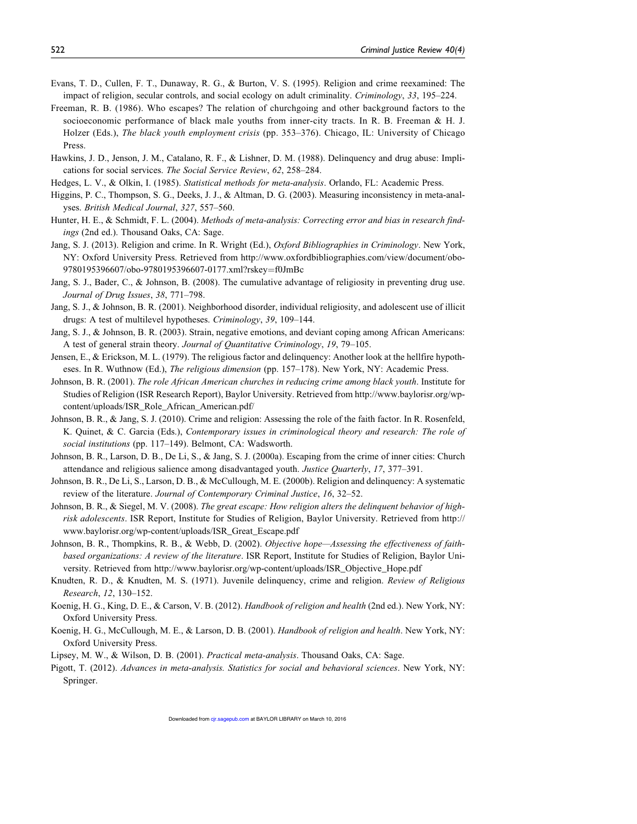- Evans, T. D., Cullen, F. T., Dunaway, R. G., & Burton, V. S. (1995). Religion and crime reexamined: The impact of religion, secular controls, and social ecology on adult criminality. Criminology, 33, 195–224.
- Freeman, R. B. (1986). Who escapes? The relation of churchgoing and other background factors to the socioeconomic performance of black male youths from inner-city tracts. In R. B. Freeman & H. J. Holzer (Eds.), The black youth employment crisis (pp. 353–376). Chicago, IL: University of Chicago Press.
- Hawkins, J. D., Jenson, J. M., Catalano, R. F., & Lishner, D. M. (1988). Delinquency and drug abuse: Implications for social services. The Social Service Review, 62, 258–284.
- Hedges, L. V., & Olkin, I. (1985). Statistical methods for meta-analysis. Orlando, FL: Academic Press.
- Higgins, P. C., Thompson, S. G., Deeks, J. J., & Altman, D. G. (2003). Measuring inconsistency in meta-analyses. British Medical Journal, 327, 557–560.
- Hunter, H. E., & Schmidt, F. L. (2004). Methods of meta-analysis: Correcting error and bias in research findings (2nd ed.). Thousand Oaks, CA: Sage.
- Jang, S. J. (2013). Religion and crime. In R. Wright (Ed.), Oxford Bibliographies in Criminology. New York, NY: Oxford University Press. Retrieved from http://www.oxfordbibliographies.com/view/document/obo-9780195396607/obo-9780195396607-0177.xml?rskey=f0JmBc
- Jang, S. J., Bader, C., & Johnson, B. (2008). The cumulative advantage of religiosity in preventing drug use. Journal of Drug Issues, 38, 771–798.
- Jang, S. J., & Johnson, B. R. (2001). Neighborhood disorder, individual religiosity, and adolescent use of illicit drugs: A test of multilevel hypotheses. Criminology, 39, 109–144.
- Jang, S. J., & Johnson, B. R. (2003). Strain, negative emotions, and deviant coping among African Americans: A test of general strain theory. Journal of Quantitative Criminology, 19, 79–105.
- Jensen, E., & Erickson, M. L. (1979). The religious factor and delinquency: Another look at the hellfire hypotheses. In R. Wuthnow (Ed.), The religious dimension (pp. 157–178). New York, NY: Academic Press.
- Johnson, B. R. (2001). The role African American churches in reducing crime among black youth. Institute for Studies of Religion (ISR Research Report), Baylor University. Retrieved from http://www.baylorisr.org/wpcontent/uploads/ISR\_Role\_African\_American.pdf/
- Johnson, B. R., & Jang, S. J. (2010). Crime and religion: Assessing the role of the faith factor. In R. Rosenfeld, K. Quinet, & C. Garcia (Eds.), Contemporary issues in criminological theory and research: The role of social institutions (pp. 117–149). Belmont, CA: Wadsworth.
- Johnson, B. R., Larson, D. B., De Li, S., & Jang, S. J. (2000a). Escaping from the crime of inner cities: Church attendance and religious salience among disadvantaged youth. Justice Quarterly, 17, 377–391.
- Johnson, B. R., De Li, S., Larson, D. B., & McCullough, M. E. (2000b). Religion and delinquency: A systematic review of the literature. Journal of Contemporary Criminal Justice, 16, 32–52.
- Johnson, B. R., & Siegel, M. V. (2008). The great escape: How religion alters the delinquent behavior of highrisk adolescents. ISR Report, Institute for Studies of Religion, Baylor University. Retrieved from http:// www.baylorisr.org/wp-content/uploads/ISR\_Great\_Escape.pdf
- Johnson, B. R., Thompkins, R. B., & Webb, D. (2002). Objective hope—Assessing the effectiveness of faithbased organizations: A review of the literature. ISR Report, Institute for Studies of Religion, Baylor University. Retrieved from http://www.baylorisr.org/wp-content/uploads/ISR\_Objective\_Hope.pdf
- Knudten, R. D., & Knudten, M. S. (1971). Juvenile delinquency, crime and religion. Review of Religious Research, 12, 130–152.
- Koenig, H. G., King, D. E., & Carson, V. B. (2012). Handbook of religion and health (2nd ed.). New York, NY: Oxford University Press.
- Koenig, H. G., McCullough, M. E., & Larson, D. B. (2001). Handbook of religion and health. New York, NY: Oxford University Press.
- Lipsey, M. W., & Wilson, D. B. (2001). Practical meta-analysis. Thousand Oaks, CA: Sage.
- Pigott, T. (2012). Advances in meta-analysis. Statistics for social and behavioral sciences. New York, NY: Springer.